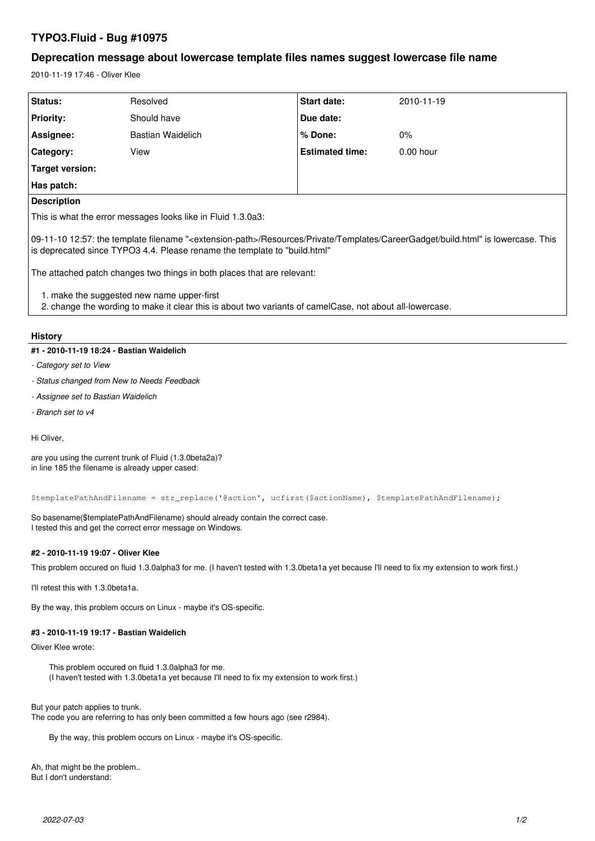# **TYPO3.Fluid - Bug #10975**

## **Deprecation message about lowercase template files names suggest lowercase file name**

2010-11-19 17:46 - Oliver Klee

| Status:                                                                                                                                                                                                                         | Resolved          | Start date:            | 2010-11-19  |  |  |
|---------------------------------------------------------------------------------------------------------------------------------------------------------------------------------------------------------------------------------|-------------------|------------------------|-------------|--|--|
| <b>Priority:</b>                                                                                                                                                                                                                | Should have       | Due date:              |             |  |  |
| Assignee:                                                                                                                                                                                                                       | Bastian Waidelich | $%$ Done:              | $0\%$       |  |  |
| Category:                                                                                                                                                                                                                       | View              | <b>Estimated time:</b> | $0.00$ hour |  |  |
| Target version:                                                                                                                                                                                                                 |                   |                        |             |  |  |
| Has patch:                                                                                                                                                                                                                      |                   |                        |             |  |  |
| <b>Description</b>                                                                                                                                                                                                              |                   |                        |             |  |  |
| This is what the error messages looks like in Fluid 1.3.0a3:                                                                                                                                                                    |                   |                        |             |  |  |
| 09-11-10 12:57: the template filename " <extension-path>/Resources/Private/Templates/CareerGadget/build.html" is lowercase. This<br/>is deprecated since TYPO3 4.4. Please rename the template to "build.html"</extension-path> |                   |                        |             |  |  |
| The attached patch changes two things in both places that are relevant:                                                                                                                                                         |                   |                        |             |  |  |
| 1. make the suggested new name upper-first<br>2. change the wording to make it clear this is about two variants of camelCase, not about all-lowercase.                                                                          |                   |                        |             |  |  |
|                                                                                                                                                                                                                                 |                   |                        |             |  |  |

## **History**

## **#1 - 2010-11-19 18:24 - Bastian Waidelich**

- *Category set to View*
- *Status changed from New to Needs Feedback*
- *Assignee set to Bastian Waidelich*
- *Branch set to v4*

Hi Oliver,

are you using the current trunk of Fluid (1.3.0beta2a)? in line 185 the filename is already upper cased:

```
$templatePathAndFilename = str_replace('@action', ucfirst($actionName), $templatePathAndFilename);
```
So basename(\$templatePathAndFilename) should already contain the correct case. I tested this and get the correct error message on Windows.

## **#2 - 2010-11-19 19:07 - Oliver Klee**

This problem occured on fluid 1.3.0alpha3 for me. (I haven't tested with 1.3.0beta1a yet because I'll need to fix my extension to work first.)

I'll retest this with 1.3.0beta1a.

By the way, this problem occurs on Linux - maybe it's OS-specific.

#### **#3 - 2010-11-19 19:17 - Bastian Waidelich**

Oliver Klee wrote:

This problem occured on fluid 1.3.0alpha3 for me. (I haven't tested with 1.3.0beta1a yet because I'll need to fix my extension to work first.)

But your patch applies to trunk.

The code you are referring to has only been committed a few hours ago (see r2984).

By the way, this problem occurs on Linux - maybe it's OS-specific.

Ah, that might be the problem.. But I don't understand: